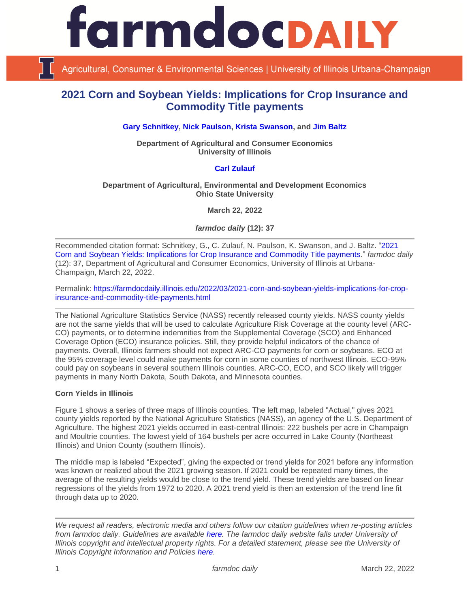

Agricultural, Consumer & Environmental Sciences | University of Illinois Urbana-Champaign

# **2021 Corn and Soybean Yields: Implications for Crop Insurance and Commodity Title payments**

**[Gary Schnitkey,](https://ace.illinois.edu/directory/schnitke) [Nick Paulson,](https://ace.illinois.edu/directory/npaulson) [Krista Swanson,](https://ace.illinois.edu/directory/krista) and [Jim Baltz](https://ace.illinois.edu/directory/jhbaltz)**

**Department of Agricultural and Consumer Economics University of Illinois**

## **[Carl Zulauf](http://aede.osu.edu/our-people/carl-zulauf)**

#### **Department of Agricultural, Environmental and Development Economics Ohio State University**

**March 22, 2022**

*farmdoc daily* **(12): 37**

Recommended citation format: Schnitkey, G., C. Zulauf, N. Paulson, K. Swanson, and J. Baltz. ["2021](https://farmdocdaily.illinois.edu/2022/03/2021-corn-and-soybean-yields-implications-for-crop-insurance-and-commodity-title-payments.html)  [Corn and Soybean Yields: Implications for Crop Insurance and Commodity Title payments.](https://farmdocdaily.illinois.edu/2022/03/2021-corn-and-soybean-yields-implications-for-crop-insurance-and-commodity-title-payments.html)" *farmdoc daily*  (12): 37, Department of Agricultural and Consumer Economics, University of Illinois at Urbana-Champaign, March 22, 2022.

Permalink: [https://farmdocdaily.illinois.edu/2022/03/2021-corn-and-soybean-yields-implications-for-crop](https://farmdocdaily.illinois.edu/2022/03/2021-corn-and-soybean-yields-implications-for-crop-insurance-and-commodity-title-payments.html)[insurance-and-commodity-title-payments.html](https://farmdocdaily.illinois.edu/2022/03/2021-corn-and-soybean-yields-implications-for-crop-insurance-and-commodity-title-payments.html)

The National Agriculture Statistics Service (NASS) recently released county yields. NASS county yields are not the same yields that will be used to calculate Agriculture Risk Coverage at the county level (ARC-CO) payments, or to determine indemnities from the Supplemental Coverage (SCO) and Enhanced Coverage Option (ECO) insurance policies. Still, they provide helpful indicators of the chance of payments. Overall, Illinois farmers should not expect ARC-CO payments for corn or soybeans. ECO at the 95% coverage level could make payments for corn in some counties of northwest Illinois. ECO-95% could pay on soybeans in several southern Illinois counties. ARC-CO, ECO, and SCO likely will trigger payments in many North Dakota, South Dakota, and Minnesota counties.

#### **Corn Yields in Illinois**

Figure 1 shows a series of three maps of Illinois counties. The left map, labeled "Actual," gives 2021 county yields reported by the National Agriculture Statistics (NASS), an agency of the U.S. Department of Agriculture. The highest 2021 yields occurred in east-central Illinois: 222 bushels per acre in Champaign and Moultrie counties. The lowest yield of 164 bushels per acre occurred in Lake County (Northeast Illinois) and Union County (southern Illinois).

The middle map is labeled "Expected", giving the expected or trend yields for 2021 before any information was known or realized about the 2021 growing season. If 2021 could be repeated many times, the average of the resulting yields would be close to the trend yield. These trend yields are based on linear regressions of the yields from 1972 to 2020. A 2021 trend yield is then an extension of the trend line fit through data up to 2020.

*We request all readers, electronic media and others follow our citation guidelines when re-posting articles from farmdoc daily. Guidelines are available [here.](http://farmdocdaily.illinois.edu/citationguide.html) The farmdoc daily website falls under University of Illinois copyright and intellectual property rights. For a detailed statement, please see the University of Illinois Copyright Information and Policies [here.](http://www.cio.illinois.edu/policies/copyright/)*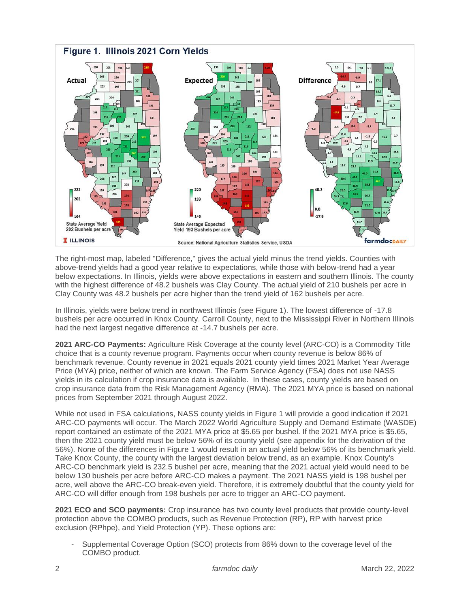

The right-most map, labeled "Difference," gives the actual yield minus the trend yields. Counties with above-trend yields had a good year relative to expectations, while those with below-trend had a year below expectations. In Illinois, yields were above expectations in eastern and southern Illinois. The county with the highest difference of 48.2 bushels was Clay County. The actual yield of 210 bushels per acre in Clay County was 48.2 bushels per acre higher than the trend yield of 162 bushels per acre.

In Illinois, yields were below trend in northwest Illinois (see Figure 1). The lowest difference of -17.8 bushels per acre occurred in Knox County. Carroll County, next to the Mississippi River in Northern Illinois had the next largest negative difference at -14.7 bushels per acre.

**2021 ARC-CO Payments:** Agriculture Risk Coverage at the county level (ARC-CO) is a Commodity Title choice that is a county revenue program. Payments occur when county revenue is below 86% of benchmark revenue. County revenue in 2021 equals 2021 county yield times 2021 Market Year Average Price (MYA) price, neither of which are known. The Farm Service Agency (FSA) does not use NASS yields in its calculation if crop insurance data is available. In these cases, county yields are based on crop insurance data from the Risk Management Agency (RMA). The 2021 MYA price is based on national prices from September 2021 through August 2022.

While not used in FSA calculations, NASS county yields in Figure 1 will provide a good indication if 2021 ARC-CO payments will occur. The March 2022 World Agriculture Supply and Demand Estimate (WASDE) report contained an estimate of the 2021 MYA price at \$5.65 per bushel. If the 2021 MYA price is \$5.65, then the 2021 county yield must be below 56% of its county yield (see appendix for the derivation of the 56%). None of the differences in Figure 1 would result in an actual yield below 56% of its benchmark yield. Take Knox County, the county with the largest deviation below trend, as an example. Knox County's ARC-CO benchmark yield is 232.5 bushel per acre, meaning that the 2021 actual yield would need to be below 130 bushels per acre before ARC-CO makes a payment. The 2021 NASS yield is 198 bushel per acre, well above the ARC-CO break-even yield. Therefore, it is extremely doubtful that the county yield for ARC-CO will differ enough from 198 bushels per acre to trigger an ARC-CO payment.

**2021 ECO and SCO payments:** Crop insurance has two county level products that provide county-level protection above the COMBO products, such as Revenue Protection (RP), RP with harvest price exclusion (RPhpe), and Yield Protection (YP). These options are:

Supplemental Coverage Option (SCO) protects from 86% down to the coverage level of the COMBO product.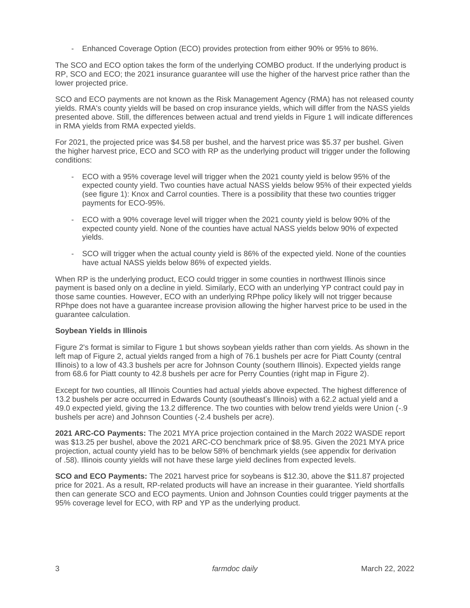- Enhanced Coverage Option (ECO) provides protection from either 90% or 95% to 86%.

The SCO and ECO option takes the form of the underlying COMBO product. If the underlying product is RP, SCO and ECO; the 2021 insurance guarantee will use the higher of the harvest price rather than the lower projected price.

SCO and ECO payments are not known as the Risk Management Agency (RMA) has not released county yields. RMA's county yields will be based on crop insurance yields, which will differ from the NASS yields presented above. Still, the differences between actual and trend yields in Figure 1 will indicate differences in RMA yields from RMA expected yields.

For 2021, the projected price was \$4.58 per bushel, and the harvest price was \$5.37 per bushel. Given the higher harvest price, ECO and SCO with RP as the underlying product will trigger under the following conditions:

- ECO with a 95% coverage level will trigger when the 2021 county yield is below 95% of the expected county yield. Two counties have actual NASS yields below 95% of their expected yields (see figure 1): Knox and Carrol counties. There is a possibility that these two counties trigger payments for ECO-95%.
- ECO with a 90% coverage level will trigger when the 2021 county yield is below 90% of the expected county yield. None of the counties have actual NASS yields below 90% of expected yields.
- SCO will trigger when the actual county yield is 86% of the expected yield. None of the counties have actual NASS yields below 86% of expected yields.

When RP is the underlying product, ECO could trigger in some counties in northwest Illinois since payment is based only on a decline in yield. Similarly, ECO with an underlying YP contract could pay in those same counties. However, ECO with an underlying RPhpe policy likely will not trigger because RPhpe does not have a guarantee increase provision allowing the higher harvest price to be used in the guarantee calculation.

#### **Soybean Yields in Illinois**

Figure 2's format is similar to Figure 1 but shows soybean yields rather than corn yields. As shown in the left map of Figure 2, actual yields ranged from a high of 76.1 bushels per acre for Piatt County (central Illinois) to a low of 43.3 bushels per acre for Johnson County (southern Illinois). Expected yields range from 68.6 for Piatt county to 42.8 bushels per acre for Perry Counties (right map in Figure 2).

Except for two counties, all Illinois Counties had actual yields above expected. The highest difference of 13.2 bushels per acre occurred in Edwards County (southeast's Illinois) with a 62.2 actual yield and a 49.0 expected yield, giving the 13.2 difference. The two counties with below trend yields were Union (-.9 bushels per acre) and Johnson Counties (-2.4 bushels per acre).

**2021 ARC-CO Payments:** The 2021 MYA price projection contained in the March 2022 WASDE report was \$13.25 per bushel, above the 2021 ARC-CO benchmark price of \$8.95. Given the 2021 MYA price projection, actual county yield has to be below 58% of benchmark yields (see appendix for derivation of .58). Illinois county yields will not have these large yield declines from expected levels.

**SCO and ECO Payments:** The 2021 harvest price for soybeans is \$12.30, above the \$11.87 projected price for 2021. As a result, RP-related products will have an increase in their guarantee. Yield shortfalls then can generate SCO and ECO payments. Union and Johnson Counties could trigger payments at the 95% coverage level for ECO, with RP and YP as the underlying product.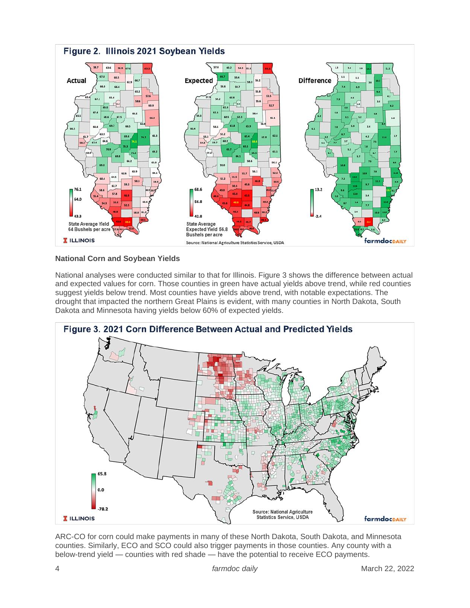

## **National Corn and Soybean Yields**

National analyses were conducted similar to that for Illinois. Figure 3 shows the difference between actual and expected values for corn. Those counties in green have actual yields above trend, while red counties suggest yields below trend. Most counties have yields above trend, with notable expectations. The drought that impacted the northern Great Plains is evident, with many counties in North Dakota, South Dakota and Minnesota having yields below 60% of expected yields.



ARC-CO for corn could make payments in many of these North Dakota, South Dakota, and Minnesota counties. Similarly, ECO and SCO could also trigger payments in those counties. Any county with a below-trend yield — counties with red shade — have the potential to receive ECO payments.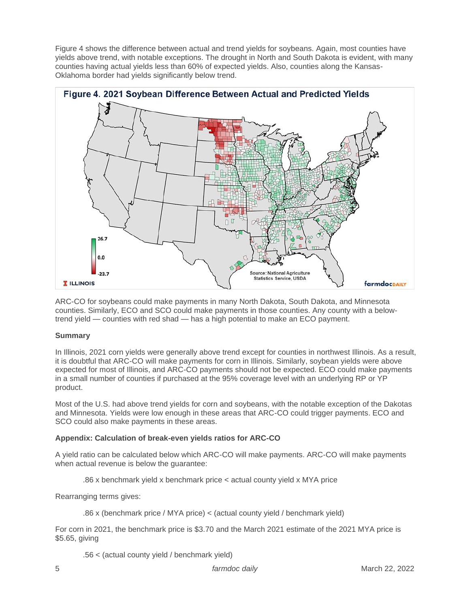Figure 4 shows the difference between actual and trend yields for soybeans. Again, most counties have yields above trend, with notable exceptions. The drought in North and South Dakota is evident, with many counties having actual yields less than 60% of expected yields. Also, counties along the Kansas-Oklahoma border had yields significantly below trend.



ARC-CO for soybeans could make payments in many North Dakota, South Dakota, and Minnesota counties. Similarly, ECO and SCO could make payments in those counties. Any county with a belowtrend yield — counties with red shad — has a high potential to make an ECO payment.

## **Summary**

In Illinois, 2021 corn yields were generally above trend except for counties in northwest Illinois. As a result, it is doubtful that ARC-CO will make payments for corn in Illinois. Similarly, soybean yields were above expected for most of Illinois, and ARC-CO payments should not be expected. ECO could make payments in a small number of counties if purchased at the 95% coverage level with an underlying RP or YP product.

Most of the U.S. had above trend yields for corn and soybeans, with the notable exception of the Dakotas and Minnesota. Yields were low enough in these areas that ARC-CO could trigger payments. ECO and SCO could also make payments in these areas.

## **Appendix: Calculation of break-even yields ratios for ARC-CO**

A yield ratio can be calculated below which ARC-CO will make payments. ARC-CO will make payments when actual revenue is below the guarantee:

.86 x benchmark yield x benchmark price < actual county yield x MYA price

Rearranging terms gives:

.86 x (benchmark price / MYA price) < (actual county yield / benchmark yield)

For corn in 2021, the benchmark price is \$3.70 and the March 2021 estimate of the 2021 MYA price is \$5.65, giving

.56 < (actual county yield / benchmark yield)